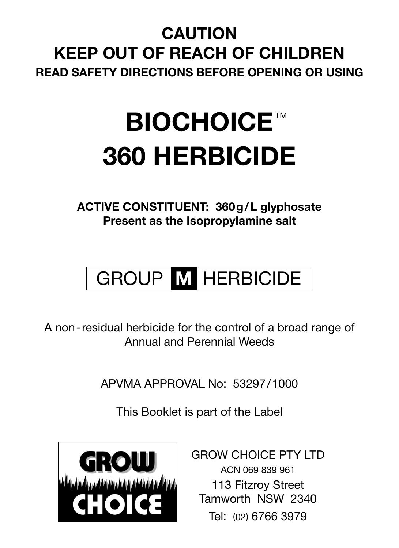#### **CAUTION KEEP OUT OF REACH OF CHILDREN READ SAFETY DIRECTIONS BEFORE OPENING OR USING**

#### **BIOCHOICE™ 360 HERBICIDE**

**ACTIVE CONSTITUENT: 360g/L glyphosate Present as the Isopropylamine salt**

#### GROUP **M** HERBICIDE

A non-residual herbicide for the control of a broad range of Annual and Perennial Weeds

APVMA APPROVAL No: 53297/1000

This Booklet is part of the Label



GROW CHOICE PTY LTD ACN 069 839 961 113 Fitzroy Street Tamworth NSW 2340 Tel: (02) 6766 3979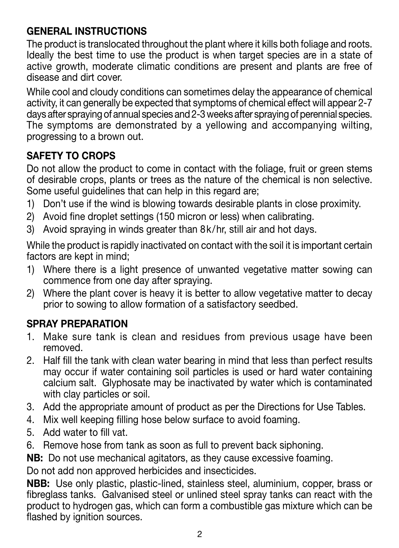#### **GENERAL INSTRUCTIONS**

The product is translocated throughout the plant where it kills both foliage and roots. Ideally the best time to use the product is when target species are in a state of active growth, moderate climatic conditions are present and plants are free of disease and dirt cover.

While cool and cloudy conditions can sometimes delay the appearance of chemical activity, it can generally be expected that symptoms of chemical effect will appear 2-7 days after spraying of annual species and 2-3 weeks after spraying of perennial species. The symptoms are demonstrated by a yellowing and accompanying wilting, progressing to a brown out.

#### **SAFETY TO CROPS**

Do not allow the product to come in contact with the foliage, fruit or green stems of desirable crops, plants or trees as the nature of the chemical is non selective. Some useful guidelines that can help in this regard are;

- 1) Don't use if the wind is blowing towards desirable plants in close proximity.
- 2) Avoid fine droplet settings (150 micron or less) when calibrating.
- 3) Avoid spraying in winds greater than 8k/hr, still air and hot days.

While the product is rapidly inactivated on contact with the soil it is important certain factors are kept in mind;

- 1) Where there is a light presence of unwanted vegetative matter sowing can commence from one day after spraying.
- 2) Where the plant cover is heavy it is better to allow vegetative matter to decay prior to sowing to allow formation of a satisfactory seedbed.

#### **SPRAY PREPARATION**

- 1. Make sure tank is clean and residues from previous usage have been removed.
- 2. Half fill the tank with clean water bearing in mind that less than perfect results may occur if water containing soil particles is used or hard water containing calcium salt. Glyphosate may be inactivated by water which is contaminated with clay particles or soil.
- 3. Add the appropriate amount of product as per the Directions for Use Tables.
- 4. Mix well keeping filling hose below surface to avoid foaming.
- 5. Add water to fill vat.
- 6. Remove hose from tank as soon as full to prevent back siphoning.

**NB:** Do not use mechanical agitators, as they cause excessive foaming.

Do not add non approved herbicides and insecticides.

**NBB:** Use only plastic, plastic-lined, stainless steel, aluminium, copper, brass or fibreglass tanks. Galvanised steel or unlined steel spray tanks can react with the product to hydrogen gas, which can form a combustible gas mixture which can be flashed by ignition sources.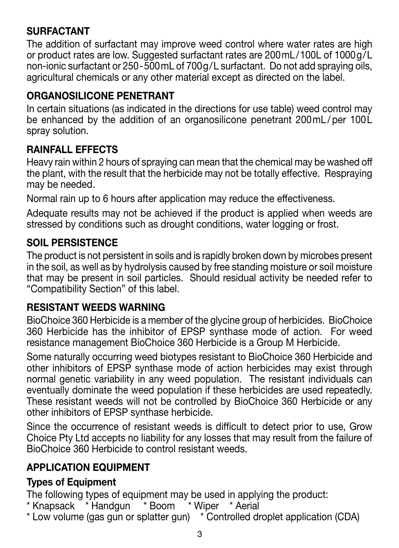#### **SURFACTANT**

The addition of surfactant may improve weed control where water rates are high or product rates are low. Suggested surfactant rates are 200 mL/100L of 1000 g/L non-ionic surfactant or 250-500mL of 700g/L surfactant. Do not add spraying oils, agricultural chemicals or any other material except as directed on the label.

#### **ORGANOSILICONE PENETRANT**

In certain situations (as indicated in the directions for use table) weed control may be enhanced by the addition of an organosilicone penetrant 200mL/per 100L spray solution.

#### **RAINFALL EFFECTS**

Heavy rain within 2 hours of spraying can mean that the chemical may be washed off the plant, with the result that the herbicide may not be totally effective. Respraying may be needed.

Normal rain up to 6 hours after application may reduce the effectiveness.

Adequate results may not be achieved if the product is applied when weeds are stressed by conditions such as drought conditions, water logging or frost.

#### **SOIL PERSISTENCE**

The product is not persistent in soils and is rapidly broken down by microbes present in the soil, as well as by hydrolysis caused by free standing moisture or soil moisture that may be present in soil particles. Should residual activity be needed refer to "Compatibility Section" of this label.

#### **RESISTANT WEEDS WARNING**

BioChoice 360 Herbicide is a member of the glycine group of herbicides. BioChoice 360 Herbicide has the inhibitor of EPSP synthase mode of action. For weed resistance management BioChoice 360 Herbicide is a Group M Herbicide.

Some naturally occurring weed biotypes resistant to BioChoice 360 Herbicide and other inhibitors of EPSP synthase mode of action herbicides may exist through normal genetic variability in any weed population. The resistant individuals can eventually dominate the weed population if these herbicides are used repeatedly. These resistant weeds will not be controlled by BioChoice 360 Herbicide or any other inhibitors of EPSP synthase herbicide.

Since the occurrence of resistant weeds is difficult to detect prior to use. Grow Choice Pty Ltd accepts no liability for any losses that may result from the failure of BioChoice 360 Herbicide to control resistant weeds.

#### **APPLICATION EQUIPMENT**

#### **Types of Equipment**

The following types of equipment may be used in applying the product:<br>\* Knapsack \* Handqun \* Boom \* Wiper \* Aerial

- $*$  Knapsack  $*$  Handgun  $*$  Boom
- \* Low volume (gas gun or splatter gun) \* Controlled droplet application (CDA)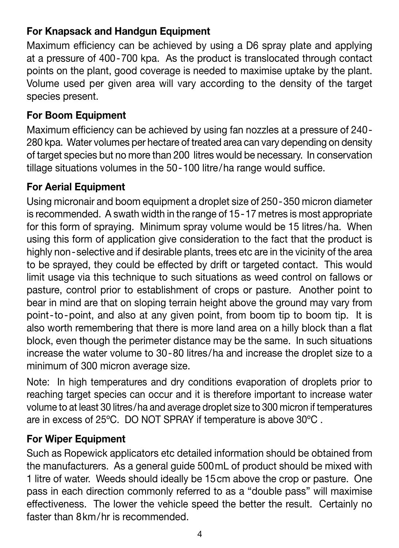#### **For Knapsack and Handgun Equipment**

Maximum efficiency can be achieved by using a D6 spray plate and applying at a pressure of 400-700 kpa. As the product is translocated through contact points on the plant, good coverage is needed to maximise uptake by the plant. Volume used per given area will vary according to the density of the target species present.

#### **For Boom Equipment**

Maximum efficiency can be achieved by using fan nozzles at a pressure of 240-280 kpa. Water volumes per hectare of treated area can vary depending on density of target species but no more than 200 litres would be necessary. In conservation tillage situations volumes in the 50-100 litre/ha range would suffice.

#### **For Aerial Equipment**

Using micronair and boom equipment a droplet size of 250-350 micron diameter is recommended. A swath width in the range of 15-17 metres is most appropriate for this form of spraying. Minimum spray volume would be 15 litres/ha. When using this form of application give consideration to the fact that the product is highly non-selective and if desirable plants, trees etc are in the vicinity of the area to be sprayed, they could be effected by drift or targeted contact. This would limit usage via this technique to such situations as weed control on fallows or pasture, control prior to establishment of crops or pasture. Another point to bear in mind are that on sloping terrain height above the ground may vary from point-to-point, and also at any given point, from boom tip to boom tip. It is also worth remembering that there is more land area on a hilly block than a flat block, even though the perimeter distance may be the same. In such situations increase the water volume to 30-80 litres/ha and increase the droplet size to a minimum of 300 micron average size.

Note: In high temperatures and dry conditions evaporation of droplets prior to reaching target species can occur and it is therefore important to increase water volume to at least 30 litres/ha and average droplet size to 300 micron if temperatures are in excess of 25ºC. DO NOT SPRAY if temperature is above 30ºC .

#### **For Wiper Equipment**

Such as Ropewick applicators etc detailed information should be obtained from the manufacturers. As a general guide 500mL of product should be mixed with 1 litre of water. Weeds should ideally be 15cm above the crop or pasture. One pass in each direction commonly referred to as a "double pass" will maximise effectiveness. The lower the vehicle speed the better the result. Certainly no faster than 8km/hr is recommended.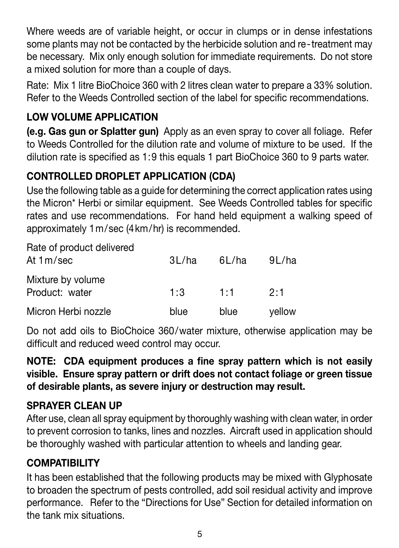Where weeds are of variable height, or occur in clumps or in dense infestations some plants may not be contacted by the herbicide solution and re-treatment may be necessary. Mix only enough solution for immediate requirements. Do not store a mixed solution for more than a couple of days.

Rate: Mix 1 litre BioChoice 360 with 2 litres clean water to prepare a 33% solution. Refer to the Weeds Controlled section of the label for specific recommendations.

#### **LOW VOLUME APPLICATION**

**(e.g. Gas gun or Splatter gun)** Apply as an even spray to cover all foliage. Refer to Weeds Controlled for the dilution rate and volume of mixture to be used. If the dilution rate is specified as  $1:9$  this equals 1 part BioChoice 360 to 9 parts water.

#### **CONTROLLED DROPLET APPLICATION (CDA)**

Use the following table as a guide for determining the correct application rates using the Micron\* Herbi or similar equipment. See Weeds Controlled tables for specific rates and use recommendations. For hand held equipment a walking speed of approximately 1m/sec (4km/hr) is recommended.

| Rate of product delivered<br>At 1 m/sec | 3L/ha | 6L/ha | 9L/ha  |
|-----------------------------------------|-------|-------|--------|
| Mixture by volume<br>Product: water     | 1.3   | 1:1   | 2.1    |
| Micron Herbi nozzle                     | blue  | blue  | vellow |

Do not add oils to BioChoice 360/water mixture, otherwise application may be difficult and reduced weed control may occur.

#### **NOTE:** CDA equipment produces a fine spray pattern which is not easily **visible. Ensure spray pattern or drift does not contact foliage or green tissue of desirable plants, as severe injury or destruction may result.**

#### **SPRAYER CLEAN UP**

After use, clean all spray equipment by thoroughly washing with clean water, in order to prevent corrosion to tanks, lines and nozzles. Aircraft used in application should be thoroughly washed with particular attention to wheels and landing gear.

#### **COMPATIBILITY**

It has been established that the following products may be mixed with Glyphosate to broaden the spectrum of pests controlled, add soil residual activity and improve performance. Refer to the "Directions for Use" Section for detailed information on the tank mix situations.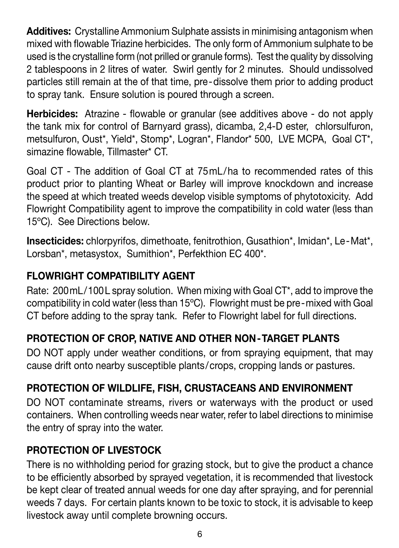**Additives:** Crystalline Ammonium Sulphate assists in minimising antagonism when mixed with flowable Triazine herbicides. The only form of Ammonium sulphate to be used is the crystalline form (not prilled or granule forms). Test the quality by dissolving 2 tablespoons in 2 litres of water. Swirl gently for 2 minutes. Should undissolved particles still remain at the of that time, pre-dissolve them prior to adding product to spray tank. Ensure solution is poured through a screen.

**Herbicides:** Atrazine - flowable or granular (see additives above - do not apply the tank mix for control of Barnyard grass), dicamba, 2,4-D ester, chlorsulfuron, metsulfuron, Oust\*, Yield\*, Stomp\*, Logran\*, Flandor\* 500, LVE MCPA, Goal CT\*, simazine flowable. Tillmaster\* CT.

Goal CT - The addition of Goal CT at 75mL/ha to recommended rates of this product prior to planting Wheat or Barley will improve knockdown and increase the speed at which treated weeds develop visible symptoms of phytotoxicity. Add Flowright Compatibility agent to improve the compatibility in cold water (less than 15ºC). See Directions below.

**Insecticides:** chlorpyrifos, dimethoate, fenitrothion, Gusathion\*, Imidan\*, Le-Mat\*, Lorsban\*, metasystox, Sumithion\*, Perfekthion EC 400\*.

#### **FLOWRIGHT COMPATIBILITY AGENT**

Rate: 200mL/100L spray solution. When mixing with Goal CT\*, add to improve the compatibility in cold water (less than 15ºC). Flowright must be pre-mixed with Goal CT before adding to the spray tank. Refer to Flowright label for full directions.

#### **PROTECTION OF CROP, NATIVE AND OTHER NON-TARGET PLANTS**

DO NOT apply under weather conditions, or from spraying equipment, that may cause drift onto nearby susceptible plants/crops, cropping lands or pastures.

#### **PROTECTION OF WILDLIFE, FISH, CRUSTACEANS AND ENVIRONMENT**

DO NOT contaminate streams, rivers or waterways with the product or used containers. When controlling weeds near water, refer to label directions to minimise the entry of spray into the water.

#### **PROTECTION OF LIVESTOCK**

There is no withholding period for grazing stock, but to give the product a chance to be efficiently absorbed by sprayed vegetation, it is recommended that livestock be kept clear of treated annual weeds for one day after spraying, and for perennial weeds 7 days. For certain plants known to be toxic to stock, it is advisable to keep livestock away until complete browning occurs.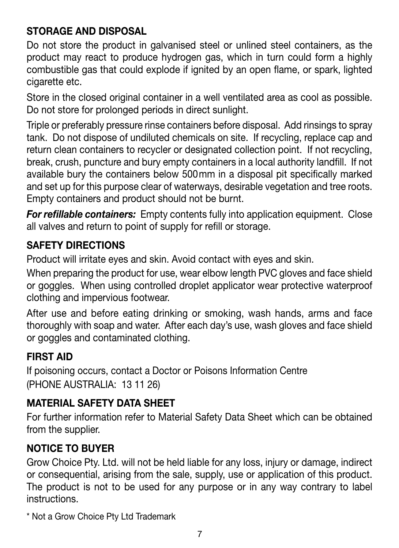#### **STORAGE AND DISPOSAL**

Do not store the product in galvanised steel or unlined steel containers, as the product may react to produce hydrogen gas, which in turn could form a highly combustible gas that could explode if ignited by an open flame, or spark, lighted cigarette etc.

Store in the closed original container in a well ventilated area as cool as possible. Do not store for prolonged periods in direct sunlight.

Triple or preferably pressure rinse containers before disposal. Add rinsings to spray tank. Do not dispose of undiluted chemicals on site. If recycling, replace cap and return clean containers to recycler or designated collection point. If not recycling, break, crush, puncture and bury empty containers in a local authority landfill. If not available bury the containers below 500mm in a disposal pit specifically marked and set up for this purpose clear of waterways, desirable vegetation and tree roots. Empty containers and product should not be burnt.

*For refillable containers:* Empty contents fully into application equipment. Close all valves and return to point of supply for refill or storage.

#### **SAFETY DIRECTIONS**

Product will irritate eyes and skin. Avoid contact with eyes and skin.

When preparing the product for use, wear elbow length PVC gloves and face shield or goggles. When using controlled droplet applicator wear protective waterproof clothing and impervious footwear.

After use and before eating drinking or smoking, wash hands, arms and face thoroughly with soap and water. After each day's use, wash gloves and face shield or goggles and contaminated clothing.

#### **FIRST AID**

If poisoning occurs, contact a Doctor or Poisons Information Centre (PHONE AUSTRALIA: 13 11 26)

#### **MATERIAL SAFETY DATA SHEET**

For further information refer to Material Safety Data Sheet which can be obtained from the supplier.

#### **NOTICE TO BUYER**

Grow Choice Pty. Ltd. will not be held liable for any loss, injury or damage, indirect or consequential, arising from the sale, supply, use or application of this product. The product is not to be used for any purpose or in any way contrary to label instructions.

\* Not a Grow Choice Pty Ltd Trademark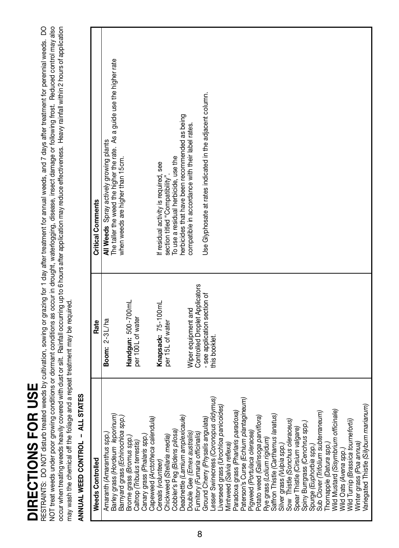## DIRECTIONS FOR USE **DIRECTIONS FOR USE**

RESTRAINTS: DO NOT disturb treated weeds by cultivation, sowing or grazing for 1 day after treatment for annual weeds, and 7 days after treatment for perennial weeds. DO RESTRAINTS: DO NOT disturb treated weeds by cultivation, sowing or grazing for 1 day after treatment for annual weeds, and 7 days after treatment for perennial weeds. DO NOT treat weeds under poor growing conditions or dormant conditions as occur in drought, waterlogging, disease, insect damage or following frost. Reduced control may also NOT treat weeds under poor growing conditions or dormant conditions as occur in drought, waterlogging, disease, insect damage or following frost. Reduced control may also ocour when treating weeds heavily covered with dust or silt. Rainfall occurring up to 6 hours after application may reduce effectiveness. Heavy rainfall within 2 hours of application occur when treating weeds heavily covered with dust or silt. Rainfall occurring up to 6 hours after application may reduce effectiveness. Heavy rainfall within 2 hours of application may wash the chemical off the foliage and a repeat treatment may be required. may wash the chemical off the foliage and a repeat treatment may be required.

## ANNUAL WEED CONTROL - ALL STATES **ANNUAL WEED CONTROL – ALL STATES**

| Weeds Controlled                                                  | Rate                                    | <b>Critical Comments</b>                                                                                           |
|-------------------------------------------------------------------|-----------------------------------------|--------------------------------------------------------------------------------------------------------------------|
| Barley grass (Hordeum leporinum)<br>Amaranth (Amaranthus spp.,    | <b>Boom:</b> 2-3L/ha                    | The taller the weed the higher the rate. As a guide use the higher rate<br>All Weeds Spray actively growing plants |
| Barnyard grass (Echinochloa spp.,                                 |                                         | when weeds are higher than 15cm.                                                                                   |
| Brome grass (Bromus spp.)<br>Caltrop (Tribulus terrestis)         | Handgun: 500-700mL<br>per 100L of water |                                                                                                                    |
| Canary grass (Phalaris spp.,                                      |                                         |                                                                                                                    |
| Capeweed (Arctotheca calendula)                                   |                                         |                                                                                                                    |
| Chickweed (Stellaria media)<br>Cereals (volunteer)                | Knapsack: 75-100 mL<br>per 15L of water | If residual activity is required, see<br>section titled "Compatibility"                                            |
| Cobbler's Peg (Bidens pilosa)                                     |                                         | To use a residual herbicide, use the                                                                               |
| Deadnettle (Lamium amplexicaule)                                  |                                         | herbicides that have been recommended as being                                                                     |
| Double Gee (Emex australis)                                       | <b>Niper</b> equipment and              | compatible in accordance with their label rates.                                                                   |
| Fumitory (Fumaria officinalis)                                    | <b>Controlled Droplet Applicators</b>   |                                                                                                                    |
| Ground Cherry (Physalis angulata)                                 | see application section of              | Jse Glyphosate at rates indicated in the adjacent column.                                                          |
| esser Swinecress (Coronopus didymus)                              | his booklet.                            |                                                                                                                    |
| Liverseed grass (Urochloa panicoides)                             |                                         |                                                                                                                    |
| Mintweed (Salvia reflexa)                                         |                                         |                                                                                                                    |
| Paradoxa grass (Pharlaris paradoxa)                               |                                         |                                                                                                                    |
| Paterson's Curse (Echium plantagineum)                            |                                         |                                                                                                                    |
| Pigweed (Portulaca oleracea)                                      |                                         |                                                                                                                    |
| Potato weed (Galinsoga parviflora)                                |                                         |                                                                                                                    |
| Rye grass (Lolium rigidum                                         |                                         |                                                                                                                    |
| Saffron Thistle (Carthamus lanatus)                               |                                         |                                                                                                                    |
| Silver grass (Vulpia spp.)<br>Sow Thistle (Sonchus oleraceus)     |                                         |                                                                                                                    |
|                                                                   |                                         |                                                                                                                    |
| Spear Thistle (Cirsium valgare)                                   |                                         |                                                                                                                    |
| Spiny Burrgrass (Cenchrus spp.,                                   |                                         |                                                                                                                    |
| Spurge (Euphorbia spp.,                                           |                                         |                                                                                                                    |
| Sub Clover (Trifolium subterraneum)                               |                                         |                                                                                                                    |
| hornapple Datura spp.                                             |                                         |                                                                                                                    |
| Wild Mustard (Sisymbrium officinale)                              |                                         |                                                                                                                    |
| Wild Oats (Avena spp.                                             |                                         |                                                                                                                    |
| Wild Turnip (Brassica tournefortii)                               |                                         |                                                                                                                    |
| Variegated Thistle (Silybum marianum)<br>Winter grass (Poa annua) |                                         |                                                                                                                    |
|                                                                   |                                         |                                                                                                                    |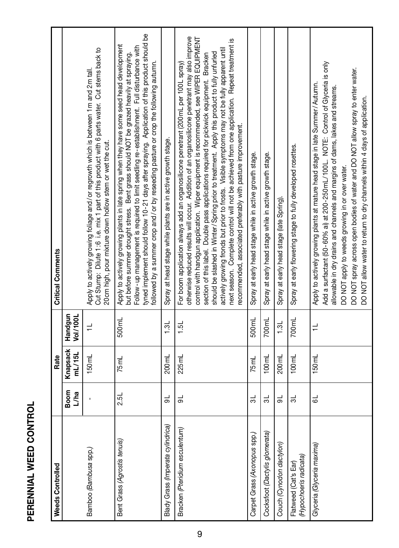| ı |
|---|
|   |
|   |
|   |
|   |
| l |
|   |
| i |
|   |
|   |
|   |
|   |
|   |
|   |
| ۱ |

| Weeds Controlled                               |              | Rate               |                      | <b>Critical Comments</b>                                                                                                                                                                                                                                                                                                                                                                                                                                                                                                                                                                                                                                                                                                                 |
|------------------------------------------------|--------------|--------------------|----------------------|------------------------------------------------------------------------------------------------------------------------------------------------------------------------------------------------------------------------------------------------------------------------------------------------------------------------------------------------------------------------------------------------------------------------------------------------------------------------------------------------------------------------------------------------------------------------------------------------------------------------------------------------------------------------------------------------------------------------------------------|
|                                                | Boom<br>L/ha | Knapsack<br>mL/15L | Handgun<br>Vol/100L  |                                                                                                                                                                                                                                                                                                                                                                                                                                                                                                                                                                                                                                                                                                                                          |
| Bamboo (Bambusa spp.)                          |              | 150 <sub>m</sub> L |                      | Out Stump: Dilute 1:6 i.e. mix 1 part of this product with 6 parts water. Cut stems back to<br>Apply to actively growing foliage and/or regrowth which is between 1m and 2m tall<br>20cm high, pour mixture down hollow stem or wet the cut.                                                                                                                                                                                                                                                                                                                                                                                                                                                                                             |
| Bent Grass (Agrostis tenuis)                   | 2.5L         | 75 <sub>ml</sub>   | 500 mL               | tyned implement should follow 10-21 days after spraying. Application of this product should be<br>Apply to actively growing plants in late spring when they have some seed head development<br>Follow-up management is required to limit seedling re-establishment. Full disturbance with<br>but before summer drought stress. Bent grass should NOT be grazed heavily at spraying.<br>ollowed by a summer crop and/or by reseeding pasture or crop the following autumn.                                                                                                                                                                                                                                                                |
| Blady Grass (Imperata cylindrica)              | ă            | 200mL              | 1.3L                 | Spray at head stage while plants are in active growth stage.                                                                                                                                                                                                                                                                                                                                                                                                                                                                                                                                                                                                                                                                             |
| Bracken (Pteridium esculentum)                 | ಕ            | 225mL              | 1.5L                 | otherwise reduced results will occur. Addition of an organosilicone penetrant may also improve<br>control with handgun application. Wiper equipment is recommended, see WIPER EQUIPMENT<br>next season. Complete control will not be achieved from one application. Repeat treatment is<br>actively growing fronds but prior to frosts. Visible symptoms may not be fully apparent until<br>should be slashed in Winter/Spring prior to treatment. Apply this product to fully unfurled<br>section of this label. Double pass applications required for pickwick equipment. Bracken<br>For boom application always add an organosilicone penetrant (200mL per 100L spray)<br>ecommended, associated preferably with pasture improvement. |
| Carpet Grass (Axonopus spp.)                   | 3L           | 75 <sub>ml</sub>   | 500 mL               | Spray at early head stage while in active growth stage.                                                                                                                                                                                                                                                                                                                                                                                                                                                                                                                                                                                                                                                                                  |
| Cocksfoot (Dactylis glomerata)                 | ಸ            | 100 <sub>mL</sub>  | 700 mL               | Spray at early head stage while in active growth stage.                                                                                                                                                                                                                                                                                                                                                                                                                                                                                                                                                                                                                                                                                  |
| Couch (Cynodon dactylon)                       | ಕ            | 200 <sub>m</sub> L | 1.3L                 | Spray at early head stage (late Spring).                                                                                                                                                                                                                                                                                                                                                                                                                                                                                                                                                                                                                                                                                                 |
| (Hypochoeris radicata)<br>Flatweed (Cat's Ear) | ಕ            | 100 <sub>ml</sub>  | 700 mL               | Spray at early flowering stage to fully developed rosettes.                                                                                                                                                                                                                                                                                                                                                                                                                                                                                                                                                                                                                                                                              |
| Glyceria (Glyceria maxima)                     | ಕ            | 150 <sub>mL</sub>  | $\rightleftharpoons$ | Add a surfactant (50-60% ai) at 200-250 mL/100 L. NOTE: Control of Glyceria is only<br>DO NOT spray across open bodies of water and DO NOT allow spray to enter water.<br>Apply to actively growing plants at mature head stage in late Summer / Autumn.<br>allowable in dry drains and channels and margins of dams, lakes and streams.<br>DO NOT allow water to return to dry channels within 4 days of application.<br>DO NOT apply to weeds growing in or over water.                                                                                                                                                                                                                                                                |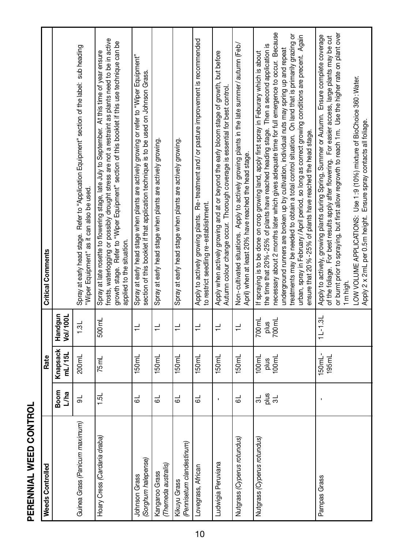| <b>Critical Comments</b> |                     | Spray at early head stage. Refer to "Application Equipment" section of the label: sub heading<br>"Wiper Equipment" as it can also be used. | rosts, waterlogging or possibly drought stress are not a restraint as plants need to be in active<br>growth stage. Refer to "Wiper Equipment" section of this booklet if this use technique can be<br>Spray at late rosette to flowering stage, late July to September. At this time of year ensure<br>applied to the situation. | Spray at early head stage when plants are actively growing or refer to "Wiper Equipment"<br>section of this booklet if that application technique is to be used on Johnson Grass. | Spray at early head stage when plants are actively growing. | Spray at early head stage when plants are actively growing. | Apply to actively growing plants. Re-treatment and / or pasture improvement is recommended<br>to restrict seedling re-establishment. | Apply when actively growing and at or beyond the early bloom stage of growth, but before<br>Autumn colour change occur. Thorough coverage is essential for best control. | Non-cultivated situations. Apply to actively growing plants in the late summer/autumn (Feb/<br>April) when at least 20% have reached the head stage. | necessary about 2 months later which gives adequate time for full emergence to occur. Because<br>reatments may be needed to obtain a total control situation. On land that is primarily grazing or<br>urban, spray in February/April period, so long as correct growing conditions are precent. Again<br>the time that 20%-25% of plants have reached heading stage. Then a second application is<br>underground runners are broken up by cultivation, individual nuts may spring up and repeat<br>If spraying is to be done on crop growing land, apply first spray in Feburary which is about<br>ensure that 20 %-25% of plants have reached the head stage. | or burnt prior to spraying, but first allow regrowth to reach 1m. Use the higher rate on plant over<br>Apply to actively, growing plants during Spring, Summer or Autumn. Ensure complete coverage<br>of the foliage. For best results apply after flowering. For easier access, large plants may be cut<br>LOW VOLUME APPLICATIONS: Use 1:9 (10%) mixture of BioChoice 360: Water.<br>Apply 2 x 2mL per 0.5m height. Ensure spray contacts all foliage.<br>1 m high |
|--------------------------|---------------------|--------------------------------------------------------------------------------------------------------------------------------------------|----------------------------------------------------------------------------------------------------------------------------------------------------------------------------------------------------------------------------------------------------------------------------------------------------------------------------------|-----------------------------------------------------------------------------------------------------------------------------------------------------------------------------------|-------------------------------------------------------------|-------------------------------------------------------------|--------------------------------------------------------------------------------------------------------------------------------------|--------------------------------------------------------------------------------------------------------------------------------------------------------------------------|------------------------------------------------------------------------------------------------------------------------------------------------------|----------------------------------------------------------------------------------------------------------------------------------------------------------------------------------------------------------------------------------------------------------------------------------------------------------------------------------------------------------------------------------------------------------------------------------------------------------------------------------------------------------------------------------------------------------------------------------------------------------------------------------------------------------------|----------------------------------------------------------------------------------------------------------------------------------------------------------------------------------------------------------------------------------------------------------------------------------------------------------------------------------------------------------------------------------------------------------------------------------------------------------------------|
|                          | Handgun<br>Vol/100L | 1.3L                                                                                                                                       | 500mL                                                                                                                                                                                                                                                                                                                            | $\frac{1}{\tau}$                                                                                                                                                                  | $\pm$                                                       | $\frac{1}{\tau}$                                            | $\frac{1}{\tau}$                                                                                                                     | $\frac{1}{\tau}$                                                                                                                                                         | $\rightleftharpoons$                                                                                                                                 | 700mL<br>700mL<br>plus                                                                                                                                                                                                                                                                                                                                                                                                                                                                                                                                                                                                                                         | $11 - 1.31$                                                                                                                                                                                                                                                                                                                                                                                                                                                          |
| Rate                     | Knapsack<br>mL/15L  | 200 mL                                                                                                                                     | 75 <sub>mL</sub>                                                                                                                                                                                                                                                                                                                 | 150 <sub>mL</sub>                                                                                                                                                                 | 150 <sub>mL</sub>                                           | 150 <sub>ml</sub>                                           | 150 <sub>m</sub> L                                                                                                                   | 150 <sub>mL</sub>                                                                                                                                                        | 150 <sub>mL</sub>                                                                                                                                    | 100 <sub>m</sub> L<br>100 <sub>mt</sub><br>anja                                                                                                                                                                                                                                                                                                                                                                                                                                                                                                                                                                                                                | 150 mL-<br>195 <sub>mL</sub>                                                                                                                                                                                                                                                                                                                                                                                                                                         |
|                          | Boom<br>L/ha        | al                                                                                                                                         | $\frac{5}{2}$                                                                                                                                                                                                                                                                                                                    | $\frac{1}{6}$                                                                                                                                                                     | ಕ                                                           | $\frac{1}{6}$                                               | ಕ                                                                                                                                    |                                                                                                                                                                          | $\frac{1}{6}$                                                                                                                                        | $rac{1}{2}$ ald<br>3L                                                                                                                                                                                                                                                                                                                                                                                                                                                                                                                                                                                                                                          |                                                                                                                                                                                                                                                                                                                                                                                                                                                                      |
| <b>Weeds Controlled</b>  |                     | Guinea Grass (Panicum maximum)                                                                                                             | Hoary Cress (Cardaria draba)                                                                                                                                                                                                                                                                                                     | (Sorghum halepense)<br><b>Johnson Grass</b>                                                                                                                                       | (Themeda australis)<br>Kangaroo Grass                       | (Pennisetum clandestinum)<br>Kikuyu Grass                   | Lovegrass, African                                                                                                                   | Ludwigia Peruviana                                                                                                                                                       | Nutgrass (Cyperus rotundus)                                                                                                                          | Nutgrass (Cyperus rotundus)                                                                                                                                                                                                                                                                                                                                                                                                                                                                                                                                                                                                                                    | Pampas Grass                                                                                                                                                                                                                                                                                                                                                                                                                                                         |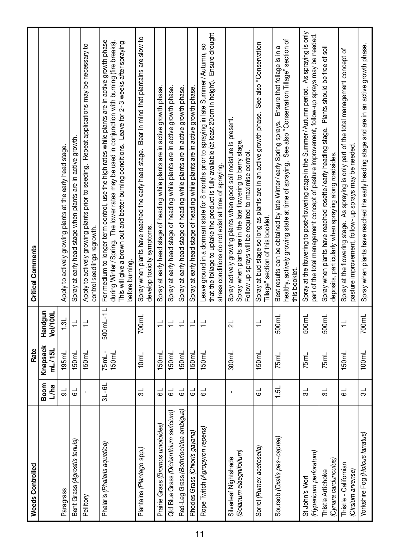| Weeds Controlled                                 |              | Rate                           |                      | Critical Comments                                                                                                                                                                                                                                                                                               |
|--------------------------------------------------|--------------|--------------------------------|----------------------|-----------------------------------------------------------------------------------------------------------------------------------------------------------------------------------------------------------------------------------------------------------------------------------------------------------------|
|                                                  | Boom<br>L/ha | Knapsack<br>mL/15L             | Handgun<br>Vol/100L  |                                                                                                                                                                                                                                                                                                                 |
| Paragrass                                        | ಕ            | 195mL                          | 1.3L                 | Apply to actively growing plants at the early head stage.                                                                                                                                                                                                                                                       |
| Bent Grass (Agrostis tenuis)                     | ತ            | 150 <sub>mL</sub>              | $\rightleftharpoons$ | Spray at early head stage when plants are in active growth.                                                                                                                                                                                                                                                     |
| Pellitory                                        |              | 150mL                          |                      | Apply to actively growing plants prior to seeding. Repeat applications may be necessary to<br>control seedlings regrowth.                                                                                                                                                                                       |
| Phalaris (Phalaris aquatica)                     | $3L - 6L$    | $75$ mL-<br>150 <sub>m</sub> L | 500mL-1L             | For medium to longer term control, use the high rates while plants are in active growth phase<br>This will give a brown out and better burning conditions. Leave for 2-3 weeks after spraying<br>during Winter/Spring. The lower rates may be used in conjunction with burning (fire breaks)<br>before burning. |
| Plantains (Plantago spp.)                        | ಸ            | 10 <sub>mL</sub>               | 700mL                | Spray when plants have reached the early head stage. Bear in mind that plantains are slow to<br>develop toxicity symptoms.                                                                                                                                                                                      |
| Prairie Grass (Bromus unioloides)                | ತ            | 150 <sub>mL</sub>              | $\pm$                | Spray at early head stage of heading while plants are in active growth phase.                                                                                                                                                                                                                                   |
| Qld Blue Grass (Dichanthium sericium)            | ತ            | 150mL                          | $\rightleftharpoons$ | Spray at early head stage of heading while plants are in active growth phase.                                                                                                                                                                                                                                   |
| Red-Leg Grass (Bothriochloa ambigua)             | ಠ            | 150mL                          | ≓                    | Spray at early head stage of heading while plants are in active growth phase.                                                                                                                                                                                                                                   |
| Rhodes Grass (Chloris gayana)                    | ತ            | 150ml                          |                      | Spray at early head stage of heading while plants are in active growth phase.                                                                                                                                                                                                                                   |
| Rope Twitch (Agropyron repens)                   | ತ            | 150mL                          | ≓                    | that the foliage to uptake the product is fully available (at least 20cm in height). Ensure drought<br>Leave ground in a dormant state for 8 months prior to spraying in late Summer/Autumn, so<br>stress conditions do not exist at time of spraying.                                                          |
| (Solanum elaegnifolium)<br>Silverleaf Nightshade | ï            | 300mL                          | $\frac{1}{2}$        | Spray actively growing plants when good soil moisture is present.<br>Spray when plants are in the late flowering to berry stage.<br>Follow up sprays will be required to maximise control                                                                                                                       |
| Sorrel (Rumex acetosella)                        | ತ            | 150 <sub>mL</sub>              | $\rightleftharpoons$ | Spray at bud stage so long as plants are in an active growth phase. See also "Conservation<br>Tillage" section of this booklet.                                                                                                                                                                                 |
| Soursob (Oxalis pes-caprae)                      | 1.5L         | 75mL                           | 500mL                | healthy, actively growing state at time of spraying. See also "Conservation Tillage" section of<br>Best results can be obtained by late Winter/early Spring sprays. Ensure that foliage is in a<br>this booklet.                                                                                                |
| (Hypericum perforatum)<br>St John's Wort         | ಸ            | 75mL                           | 500mL                | Spray at the flowering to post-flowering stage in the Summer/Autumn period. As spraying is only<br>part of the total management concept of pasture improvement, follow-up sprays may be needed                                                                                                                  |
| (Cynara cardunculus)<br>Thistle Artichoke        | ಸ            | 75mL                           | 500mL                | Spray when plants have reached rosette/early heading stage. Plants should be free of soil<br>deposits, particularly when spraying along roadsides.                                                                                                                                                              |
| Thistle - Californian<br>Cirsium arvense)        | ಠ            | 150 <sub>m</sub> L             | $\pm$                | Spray at the flowering stage. As spraying is only part of the total management concept of<br>pasture improvement, follow-up sprays may be needed.                                                                                                                                                               |
| Yorkshire Fog (Holcus lanatus)                   | ಸ            | 100mL                          | 700mL                | Spray when plants have reached the early heading stage and are in an active growth phase.                                                                                                                                                                                                                       |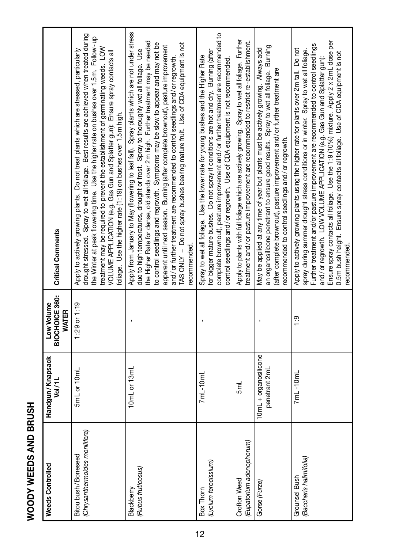| Ξ |
|---|
|   |
| ī |
|   |
|   |
|   |
|   |
|   |
|   |
|   |
|   |
|   |
|   |
| ī |
|   |
|   |
|   |
|   |
|   |

| <b>Critical Comments</b>                     | drought stressed. Spray to wet all foliage. Best results are achieved when treated during<br>the Winter at peak flowering time. Use the higher rate on bushes over 1.5m. Follow-up<br>treatment may be required to prevent the establishment of germinating weeds. LOW<br>Apply to actively growing plants. Do not treat plants which are stressed, particularly<br>VOLUME APPLICATION (e.g. Gas Gun and Splatter gun): Ensure spray contacts all<br>follage. Use the higher rate (1:19) on bushes over 1.5m high. | Apply from January to May (flowering to leaf fall). Spray plants which are not under stress<br>the Higher Rate for dense, old stands over 2m high. Further treatment may be needed<br>to control seedlings and regrowth. Symptoms may be slow to appear and may not be<br>TAS ONLY - Do not spray bushes bearing mature fruit. Use of CDA equipment is not<br>apparent until next season. Burning (after complete brownout), pasture improvement<br>due to high temperatures, drought or frost. Spray to thoroughly wet all foliage. Use<br>and/or further treatment are recommended to control seedlings and/or regrowth.<br>ecommended. | complete brownout), pasture improvement and/or further treatment are recommended to<br>for bigger mature bushes. Do not spray if conditions are hot and dry. Burning (after<br>Spray to wet all foliage. Use the lower rate for young bushes and the Higher Rate<br>control seedlings and/or regrowth. Use of CDA equipment is not recommended. | Apply to plants with full foliage which are actively growing. Spray to wet all foliage. Further<br>reatment and/or pasture improvement are recommended to restrict re-establishment. | an organosilicone penetrant to ensure good results. Spray to wet all foliage. Burning<br>May be applied at any time of year but plants must be actively growing. Always add<br>(after complete brownout), pasture improvement and/or further treatment are<br>ecommended to control seedlings and/or regrowth. | Ensure spray contacts all foliage. Use the 1:9 (10%) mixture. Apply 2 x 2 mL dose per<br>Further treatment and/or pasture improvement are recommended to control seedlings<br>Apply to actively growing plants using the higher rate for plants over 2m tall. Do not<br>spray during summer drought stress conditions or in winter. Spray to wet all foliage.<br>0.5 m bush height. Ensure spray contacts all foliage. Use of CDA equipment is not<br>and/or regrowth. LOW VOLUME APPLICATION (e.g. Gas Gun and Splatter gun):<br>ecommended. |
|----------------------------------------------|--------------------------------------------------------------------------------------------------------------------------------------------------------------------------------------------------------------------------------------------------------------------------------------------------------------------------------------------------------------------------------------------------------------------------------------------------------------------------------------------------------------------|-------------------------------------------------------------------------------------------------------------------------------------------------------------------------------------------------------------------------------------------------------------------------------------------------------------------------------------------------------------------------------------------------------------------------------------------------------------------------------------------------------------------------------------------------------------------------------------------------------------------------------------------|-------------------------------------------------------------------------------------------------------------------------------------------------------------------------------------------------------------------------------------------------------------------------------------------------------------------------------------------------|--------------------------------------------------------------------------------------------------------------------------------------------------------------------------------------|----------------------------------------------------------------------------------------------------------------------------------------------------------------------------------------------------------------------------------------------------------------------------------------------------------------|-----------------------------------------------------------------------------------------------------------------------------------------------------------------------------------------------------------------------------------------------------------------------------------------------------------------------------------------------------------------------------------------------------------------------------------------------------------------------------------------------------------------------------------------------|
| BIOCHOICE 360:<br>Low Volume<br><b>WATER</b> | $1:29$ or $1:19$                                                                                                                                                                                                                                                                                                                                                                                                                                                                                                   |                                                                                                                                                                                                                                                                                                                                                                                                                                                                                                                                                                                                                                           |                                                                                                                                                                                                                                                                                                                                                 |                                                                                                                                                                                      |                                                                                                                                                                                                                                                                                                                | ::∂                                                                                                                                                                                                                                                                                                                                                                                                                                                                                                                                           |
| Handgun/Knapsack<br><b>Aol/1L</b>            | 5mL or 10mL                                                                                                                                                                                                                                                                                                                                                                                                                                                                                                        | 10mL or 13mL                                                                                                                                                                                                                                                                                                                                                                                                                                                                                                                                                                                                                              | 7mL-10mL                                                                                                                                                                                                                                                                                                                                        | 5 <sub>mL</sub>                                                                                                                                                                      | 10mL + organosilicone<br>penetrant 2mL                                                                                                                                                                                                                                                                         | 7 mL-10 mL                                                                                                                                                                                                                                                                                                                                                                                                                                                                                                                                    |
| <b>Weeds Controlled</b>                      | (Chrysanthermoides monilifera)<br>Bitou bush/Boneseed                                                                                                                                                                                                                                                                                                                                                                                                                                                              | (Rubus fruticosus)<br>Blackberry                                                                                                                                                                                                                                                                                                                                                                                                                                                                                                                                                                                                          | (Lycium ferocissium)<br>Box Thorn                                                                                                                                                                                                                                                                                                               | (Eupatorium adenophorum)<br>Crofton Weed                                                                                                                                             | Gorse (Furze)                                                                                                                                                                                                                                                                                                  | (Baccharis halimifolia)<br>Grounsel Bush                                                                                                                                                                                                                                                                                                                                                                                                                                                                                                      |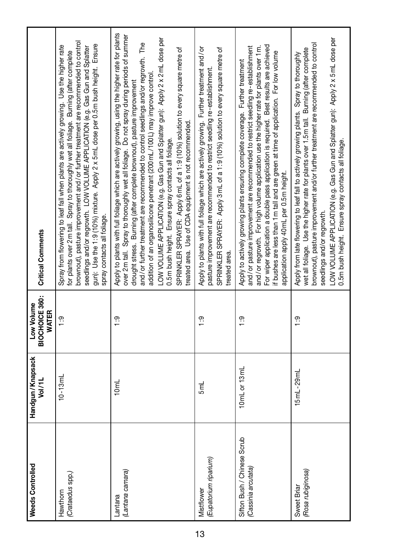| <b>Weeds Controlled</b>                            | Handgun / Knapsack<br>Vol/1L | BIOCHOICE 360:<br>Low Volume<br><b>WATER</b> | <b>Critical Comments</b>                                                                                                                                                                                                                                                                                                                                                                                                                                                                                                                                                                                                                                                                                                        |
|----------------------------------------------------|------------------------------|----------------------------------------------|---------------------------------------------------------------------------------------------------------------------------------------------------------------------------------------------------------------------------------------------------------------------------------------------------------------------------------------------------------------------------------------------------------------------------------------------------------------------------------------------------------------------------------------------------------------------------------------------------------------------------------------------------------------------------------------------------------------------------------|
| (Crataedus spp.)<br>Hawthorn                       | $10 - 13$ mL                 | ္                                            | brownout), pasture improvement and/or further treatment are recommended to control<br>gun): Use the 1:9 (10%) mixture. Apply 2 x 5mL dose per 0.5m bush height. Ensure<br>Spray from flowering to leaf fall when plants are actively growing. Use the higher rate<br>seedlings and/or regrowth. LOW VOLUME APPLICATION (e.g. Gas Gun and Splatter<br>for plants over 2m tall. Spray to thoroughly wet all foliage. Burning (after complete<br>spray contacts all foliage.                                                                                                                                                                                                                                                       |
| (Lantana camara)<br>Lantana                        | 10 <sub>mL</sub>             | $\frac{1}{1}$                                | Apply to plants with full foliage which are actively growing, using the higher rate for plants<br>over 2 m tall. Spray to thoroughly wet all follage. Do not spray during periods of summer<br>LOW VOLUME APPLICATION (e.g. Gas Gun and Splatter gun): Apply 2 x 2 mL dose per<br>and/or further treatment are recommended to control seedlings and/or regrowth. The<br>SPRINKLER SPRAYER: Apply 6mL of a 1:9 (10%) solution to every square metre of<br>addition of an organosilicone penetrant (200 mL/100L) may improve control<br>drought stress. Burning (after complete brownout), pasture improvement<br>treated area. Use of CDA equipment is not recommended.<br>0.5 m bush height. Ensure spray contacts all foliage. |
| (Eupatorium riparium)<br>Mistflower                | 5 <sub>mL</sub>              | $\frac{1}{1}$                                | Apply to plants with full foliage which are actively growing. Further treatment and/or<br>SPRINKLER SPRAYER: Apply 3mL of a 1:9 (10%) solution to every square metre of<br>pasture improvement are recommended to restrict seedling re-establishment<br>reated area.                                                                                                                                                                                                                                                                                                                                                                                                                                                            |
| Sifton Bush / Chinese Scrub<br>(Cassinia arcutata) | 10mL or 13mL                 | $\frac{1}{1}$                                | For wiper application a double pass application is required. Best results are achieved<br>and/or regrowth. For high volume application use the higher rate for plants over 1m.<br>and/or pasture improvement are recommended to restrict seedling re-establishment<br>f bushes are less than 1 m tall and are green at time of application. For low volume<br>Apply to actively growing plants ensuring complete coverage. Further treatment<br>application apply 40 mL per 0.5m height.                                                                                                                                                                                                                                        |
| (Rosa rubiginosa)<br><b>Sweet Briar</b>            | $15mL - 29mL$                | $\frac{1}{1}$                                | LOW VOLUME APPLICATION (e.g. Gas Gun and Splatter gun): Apply 2 x 5 mL dose per<br>brownout), pasture improvement and/or further treatment are recommended to control<br>wet all foliage. Use the higher rate for plants over 1.5 m tall. Burning (after complete<br>Apply from late flowering to leaf fall to actively growing plants. Spray to thoroughly<br>0.5m bush height. Ensure spray contacts all foliage.<br>seedlings and/or regrowth.                                                                                                                                                                                                                                                                               |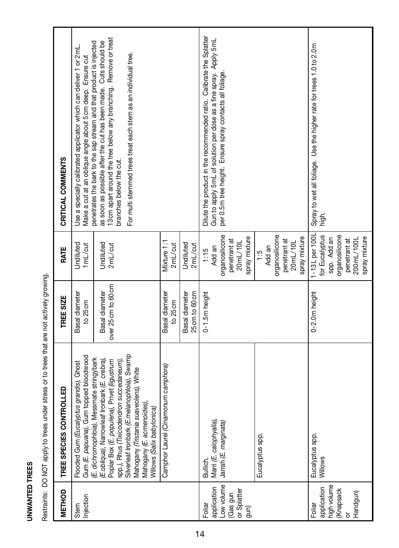**UNWANTED TREES UNWANTED TREES**

Restraints: DO NOT apply to trees under stress or to trees that are not actively growing. Restraints: DO NOT apply to trees under stress or to trees that are not actively growing.

| METHOD                                                                | TREE SPECIES CONTROLLED                                                                                                                                                                                                                                                                                                                | TREE SIZE                             | RATE                                                                                                              | CRITICAL COMMENTS                                                                                                                                                                                                                                                                                      |
|-----------------------------------------------------------------------|----------------------------------------------------------------------------------------------------------------------------------------------------------------------------------------------------------------------------------------------------------------------------------------------------------------------------------------|---------------------------------------|-------------------------------------------------------------------------------------------------------------------|--------------------------------------------------------------------------------------------------------------------------------------------------------------------------------------------------------------------------------------------------------------------------------------------------------|
| Injection<br>Stem                                                     | Gum (E. papuana), Gum topped bloodwood<br>Flooded Gum (Eucalyptus grandis), Ghost                                                                                                                                                                                                                                                      | Basal diameter<br>to 25cm             | Undiluted<br>1mL/cut                                                                                              | Use a specially calibrated applicator which can deliver 1 or 2mL.<br>Make a cut at an oblique angle about 5cm deep. Ensure cut                                                                                                                                                                         |
|                                                                       | Silverleaf Ironbark (E.melanophloia), Swamp<br>E. dichromophloia), Messmate stringybark<br>Poplar Box (E. populena), Privet (ligustrum<br>(Eobliqua), Narrowleaf Ironbark (E. crebra)<br>spp.), Rhus (Tixicodendron succedaneum),<br>Mahogany (Tristania suaveolens), White<br>Mahogany (E. acmenoides).<br>Willows (Salix babylonica) | over 25 cm to 60 cm<br>Basal diameter | Undiluted<br>2mL/cut                                                                                              | 13 cm apart around the tree below any branching. Remove or treat<br>penetrates the bark to the sap stream and that product is injected<br>as soon as possible after the cut has been made. Cuts should be<br>For multi stemmed trees treat each stem as an individual tree.<br>pranches below the cut. |
|                                                                       | Camphor Laurel (Cinamonum camphora)                                                                                                                                                                                                                                                                                                    | Basal diameter<br>to 25cm             | Mixture 1:1<br>2mL/cut                                                                                            |                                                                                                                                                                                                                                                                                                        |
|                                                                       |                                                                                                                                                                                                                                                                                                                                        | Basal diameter<br>25cm to 60cm        | Undiluted<br>2mL/cut                                                                                              |                                                                                                                                                                                                                                                                                                        |
| Low volume<br>application<br>or Splatter<br>Gas gun<br>Foliar<br>(аир | Marri (E. calophyalla),<br>Jarrah (E. marginata)<br>Bullich,                                                                                                                                                                                                                                                                           | $0-1.5m$ height                       | organosilicone<br>spray mixture<br>penetrant at<br>20mL/10L<br>Add an<br>1:15                                     | Dilute the product in the recommended ratio. Calibrate the Splatter<br>Gun to apply 5mL of solution per dose as a fine spray. Apply 5mL<br>per 0.5m tree height. Ensure spray contacts all foliage.                                                                                                    |
|                                                                       | Eucalyptus spp.                                                                                                                                                                                                                                                                                                                        |                                       | organosilicone<br>spray mixture<br>penetrant at<br>20mL/10L<br>Add an<br>1:5                                      |                                                                                                                                                                                                                                                                                                        |
| high volume<br>application<br>(Knapsack<br>Handgun)<br>Foliar         | Eucalyptus spp.<br>Willows                                                                                                                                                                                                                                                                                                             | $0-2.0$ m height                      | 1-13L per 100L<br>for Eucalyptus<br>organosilicone<br>spray mixture<br>200 mL/100L<br>spp. Add an<br>penetrant at | Spray to wet all foliage. Use the higher rate for trees 1.0 to 2.0m<br>high.                                                                                                                                                                                                                           |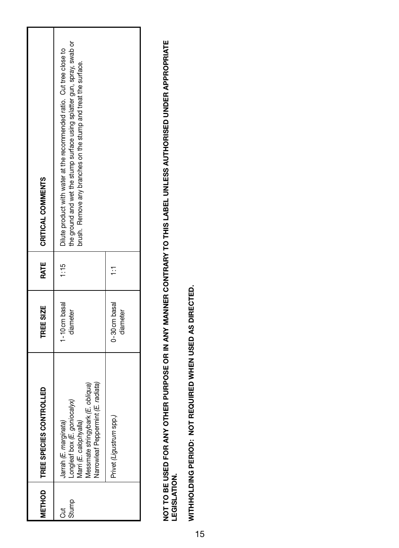|            | METHOD   TREE SPECIES CONTROLLED                                                                                                                           | <b>TREE SIZE</b>          | RATE | <b>CRITICAL COMMENTS</b>                                                                                                                                                                                          |
|------------|------------------------------------------------------------------------------------------------------------------------------------------------------------|---------------------------|------|-------------------------------------------------------------------------------------------------------------------------------------------------------------------------------------------------------------------|
| Stump<br>J | Narrowleaf Peppermint (E. radiata)<br>Messmate stringybark (E. obliqua)<br>Longleaf box (E. goniocalyx)<br>harri (E. calophyalla)<br>Jarrah (E. marginata) | 1-10 cm basal<br>diameter | 1:15 | he ground and wet the stump surface using splatter gun, spray, swab or<br>Dilute product with water at the recommended ratio. Cut tree close to<br>brush. Remove any branches on the stump and treat the surface. |
|            | Privet (Ligustrum spp.)                                                                                                                                    | 0-30 cm basal<br>diameter |      |                                                                                                                                                                                                                   |

NOT TO BE USED FOR ANY OTHER PURPOSE OR IN ANY MANNER CONTRARY TO THIS LABEL UNLESS AUTHORISED UNDER APPROPRIATE<br>LEGISLATION. **NOT TO BE USED FOR ANY OTHER PURPOSE OR IN ANY MANNER CONTRARY TO THIS LABEL UNLESS AUTHORISED UNDER APPROPRIATE LEGISLATION.** 

WITHHOLDING PERIOD: NOT REQUIRED WHEN USED AS DIRECTED. **WITHHOLDING PERIOD: NOT REQUIRED WHEN USED AS DIRECTED.**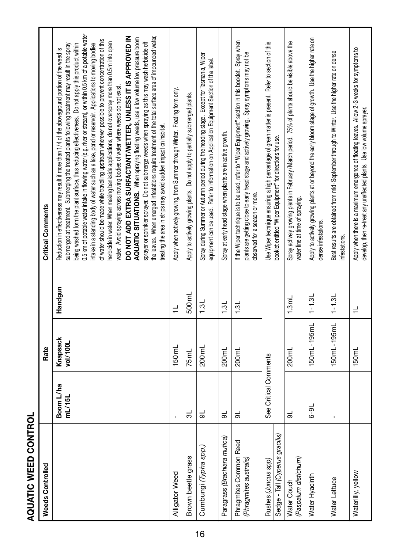| i |
|---|

| <b>Weeds Controlled</b>                                |                       | Rate                 |                      | <b>Critical Comments</b>                                                                                                                                                                                                                                                                                                                                                                                                                                                                                                                                                                                                                                                                                                                                                                                                                                                                                                                                                                                                                                    |
|--------------------------------------------------------|-----------------------|----------------------|----------------------|-------------------------------------------------------------------------------------------------------------------------------------------------------------------------------------------------------------------------------------------------------------------------------------------------------------------------------------------------------------------------------------------------------------------------------------------------------------------------------------------------------------------------------------------------------------------------------------------------------------------------------------------------------------------------------------------------------------------------------------------------------------------------------------------------------------------------------------------------------------------------------------------------------------------------------------------------------------------------------------------------------------------------------------------------------------|
|                                                        | Boom L/ha<br>mL/15L   | Knapsack<br>vol/100L | Handgun              | submerged at treatment. Submerging the treated plants following treatment may result in the spray<br>Reduction in effectiveness may result if more than 1/4 of the aboveground portion of the weed is                                                                                                                                                                                                                                                                                                                                                                                                                                                                                                                                                                                                                                                                                                                                                                                                                                                       |
|                                                        |                       |                      |                      | 0.5 km of potable water intake in flowing water (e.g. niver or stream), or within 0.5 km of a potable water<br>DO NOT ADD EXTRA SURFACTANT/WETTER, UNLESS IT IS APPROVED IN<br>the leaves. When emerged infestations require treatment of the total surface area of impounded water,<br>AQUATIC SITUATIONS. When spraying floating weeds, use a low volume low pressure boom<br>of water should be made while travelling upstream wherever possible to prevent concentration of this<br>sprayer or sprinkler sprayer. Do not submerge weeds when spraying as this may wash herbioide off<br>nerbicide in water. When making bankside applications, do not overspray more than 0.5m into open<br>ntake in a standing body of water such as a lake, pond or reservoir. Applications to moving bodies<br>being washed form the plant surface, thus reducing effectiveness. Do not apply this product within<br>water. Avoid spraying across moving bodies of water where weeds do not exist.<br>reating the area in strips may avoid sudden impact on habitat. |
| <b>Alligator Weed</b>                                  | ï                     | 150mL                | ≓                    | Apply when actively growing, from Summer through Winter. Floating form only.                                                                                                                                                                                                                                                                                                                                                                                                                                                                                                                                                                                                                                                                                                                                                                                                                                                                                                                                                                                |
| Brown beetle grass                                     | ಸ                     | 75mL                 | 500mL                | Apply to actively growing plants. Do not apply to partially submerged plants.                                                                                                                                                                                                                                                                                                                                                                                                                                                                                                                                                                                                                                                                                                                                                                                                                                                                                                                                                                               |
| Cumbungi (Typha spp.)                                  | ಕ                     | 200mL                | $\frac{1}{3}$        | Spray during Summer or Autumn period during the heading stage. Except for Tasmania, Wiper<br>equipment can be used. Refer to information on Application Equipment Section of the label.                                                                                                                                                                                                                                                                                                                                                                                                                                                                                                                                                                                                                                                                                                                                                                                                                                                                     |
| Paragrass (Brachiara mutica)                           | ಹ                     | 200 <sub>ml</sub>    | $\frac{31}{2}$       | Spray at early head stage when plants are in active growth.                                                                                                                                                                                                                                                                                                                                                                                                                                                                                                                                                                                                                                                                                                                                                                                                                                                                                                                                                                                                 |
| Phragmites Common Reed<br>(Phragmites australis)       | ಕ                     | 200 <sub>m</sub>     | 1.3L                 | f the Wiper technique is to be used, refer to "Wiper Equipment" section in this booklet. Spray when<br>blants are getting close to early head stage and actively growing. Spray symptoms may not be<br>observed for a season or more.                                                                                                                                                                                                                                                                                                                                                                                                                                                                                                                                                                                                                                                                                                                                                                                                                       |
| Sedge - Tall (Cyperus gracilis)<br>Rushes (Juncus spp) | See Critical Comments |                      |                      | Use Wiper technique ensuring a high percentage of green matter is present. Refer to section of this<br>booklet entitled "Wiper Equipment" for directions for use.                                                                                                                                                                                                                                                                                                                                                                                                                                                                                                                                                                                                                                                                                                                                                                                                                                                                                           |
| (Paspalum distichum)<br>Water Couch                    | ട്                    | 200 <sub>ml</sub>    | 1.3 <sub>mL</sub>    | Spray actively growing plants in February/March period. 75% of plants should be visible above the<br>water line at time of spraying.                                                                                                                                                                                                                                                                                                                                                                                                                                                                                                                                                                                                                                                                                                                                                                                                                                                                                                                        |
| Water Hyacinth                                         | $-9L$                 | 150mL-195mL          | $1 - 1.3L$           | Apply to actively growing plants at or beyond the early bloom stage of growth. Use the higher rate on<br>dense infestations.                                                                                                                                                                                                                                                                                                                                                                                                                                                                                                                                                                                                                                                                                                                                                                                                                                                                                                                                |
| Water Lettuce                                          |                       | 150mL-195mL 1-1.3L   |                      | Best results are obtained from mid-September through to Winter. Use the higher rate on dense<br>infestations.                                                                                                                                                                                                                                                                                                                                                                                                                                                                                                                                                                                                                                                                                                                                                                                                                                                                                                                                               |
| Waterlilly, yellow                                     |                       | 150mL                | $\rightleftharpoons$ | Apply when there is a maximum emergence of floating leaves. Allow 2-3 weeks for symptoms to<br>develop, then re-treat any unaffected plants. Use low volume sprayer.                                                                                                                                                                                                                                                                                                                                                                                                                                                                                                                                                                                                                                                                                                                                                                                                                                                                                        |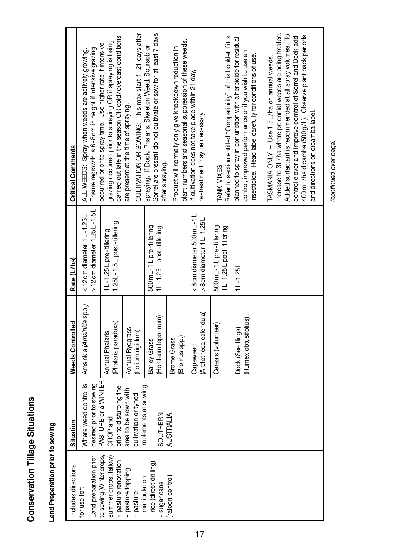## **Conservation Tillage Situations Conservation Tillage Situations**

## Land Preparation prior to sowing **Land Preparation prior to sowing**

| <b>Critical Comments</b> | Ensure regrowth is 6-8cm in height if intensive grazing<br>ALL WEEDS: Spray when weeds are actively growing. | carried out late in the season OR cold/overcast conditions<br>grazing occurred prior to spraying OR if spraying is being<br>occurred prior to spray time. Use higher rate if intensive | CULTIVATION OR SOWING: This may start 1-21 days after<br>are present at the time of spraying. | Sorrel are present do not cultivate or sow for at least 7 days<br>spraying. If Dock, Phalaris, Skeleton Weed, Soursob or<br>after spraying. | plant numbers and seasonal suppression of these weeds.<br>Product will normally only give knockdown reduction in | If cultivation does not take place within 21 day,<br>re-treatment may be necessary. | Refer to section entitled "Compatibility" of this booklet if it is<br>TANK MIXES | planned to spray in conjunction with a herbicide for residual<br>control, improved performance or if you wish to use an<br>insecticide. Read label carefully for conditions of use. | Increase to 3L/ha where perennial weeds are being treated.<br>Added surfactant is recommended at all spray volumes. To<br>400mL/ha dicamba (500 g/L). Observe plant back periods<br>control clover and improve comtrol of Sorrel and Dock add<br>TASMANIA ONLY - Use 1.5 L/ha on annual weeds.<br>and directions on dicamba label |  |
|--------------------------|--------------------------------------------------------------------------------------------------------------|----------------------------------------------------------------------------------------------------------------------------------------------------------------------------------------|-----------------------------------------------------------------------------------------------|---------------------------------------------------------------------------------------------------------------------------------------------|------------------------------------------------------------------------------------------------------------------|-------------------------------------------------------------------------------------|----------------------------------------------------------------------------------|-------------------------------------------------------------------------------------------------------------------------------------------------------------------------------------|-----------------------------------------------------------------------------------------------------------------------------------------------------------------------------------------------------------------------------------------------------------------------------------------------------------------------------------|--|
| Rate (L/ha)              | >12cm diameter 1.25L-1.5L<br>$<$ 12 cm diameter 1 L-1.25 L                                                   | 1.25L-1.5L post-tillering<br>1L-1.25L pre-tillering                                                                                                                                    |                                                                                               | 500mL-1L pre-tillering<br>1L-1.25L post-tillering                                                                                           |                                                                                                                  | <8cm diameter 500mL-1L<br>>8cm diameter 1L-1.25L                                    | 500mL-1L pre-tillering<br>1L-1.25L post-tillering                                | $11 - 1.251$                                                                                                                                                                        |                                                                                                                                                                                                                                                                                                                                   |  |
| <b>Weeds Controlled</b>  | Amsinkia (Amsinkia spp.)                                                                                     | (Phalaris paradoxa)<br>Annual Phalaris                                                                                                                                                 | Annual Ryegrass<br>(Lolium rigidum)                                                           | (Hordeum leporinum)<br>Barley Grass                                                                                                         | (Bromus spp.)<br><b>Brome Grass</b>                                                                              | (Arctotheca calendula)<br>Capeweed                                                  | Cereals (volunteer)                                                              | (Rumex obtusifolius)<br>Dock (Seedlings)                                                                                                                                            |                                                                                                                                                                                                                                                                                                                                   |  |
| Situation                | Where weed control is<br>desired prior to sowing                                                             | PASTURE or a WINTER<br>prior to disturbing the<br>CROP and                                                                                                                             | area to be sown with<br>cultivation or tyned                                                  | implements at sowing.<br>SOUTHERN                                                                                                           | AUSTRALIA                                                                                                        |                                                                                     |                                                                                  |                                                                                                                                                                                     |                                                                                                                                                                                                                                                                                                                                   |  |
| Includes directions      | Land preparation prior<br>for use for:                                                                       | to sowing (Winter crops,<br>summer crops, fallow)<br>- pasture renovation                                                                                                              | - pasture topping<br>manipulation<br>- pasture                                                | - rice (direct drilling)<br>- sugar cane                                                                                                    | (ratoon control)                                                                                                 |                                                                                     |                                                                                  |                                                                                                                                                                                     |                                                                                                                                                                                                                                                                                                                                   |  |

(continued over page) *(continued over page)*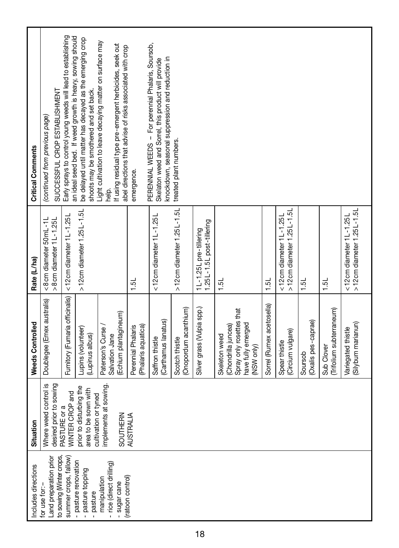| <b>Critical Comments</b> | SUCCESSFUL CROP ESTABLISHMENT<br>(continued from previous page)     | Early sprays to control young weeds will lead to establishing<br>an ideal seed bed. If weed growth is heavy, sowing should | be delayed until matter has decayed as the emerging crop<br>shoots may be smothered and set back. | Light cultivation to leave decaying matter on surface may<br>help. | If using residual type pre-emergent herbicides, seek out<br>abel directions that advise of risks associated with crop | emergence.                                | PERENNIAL WEEDS - For perennial Phalaris, Soursob,<br>knockdown, seasonal suppression and reduction in<br>Skelaton weed and Sorrel, this product will provide | treated plant numbers.                  |                                                     |                                                                                                     |                           |                                                              |                                |                                       |                                                              |
|--------------------------|---------------------------------------------------------------------|----------------------------------------------------------------------------------------------------------------------------|---------------------------------------------------------------------------------------------------|--------------------------------------------------------------------|-----------------------------------------------------------------------------------------------------------------------|-------------------------------------------|---------------------------------------------------------------------------------------------------------------------------------------------------------------|-----------------------------------------|-----------------------------------------------------|-----------------------------------------------------------------------------------------------------|---------------------------|--------------------------------------------------------------|--------------------------------|---------------------------------------|--------------------------------------------------------------|
| Rate (L/ha)              | <8cm diameter 50mL-1L<br>>8cm diameter 1L-1.25L                     | <12 cm diameter 1L-1.25L                                                                                                   | >12cm diameter 1.25L-1.5L                                                                         |                                                                    |                                                                                                                       | 1.5L                                      | <12 cm diameter 1L-1.25L                                                                                                                                      | >12 cm diameter 1.25L-1.5L              | 1.25L-1.5L post-tillering<br>1L-1.25L pre-tillering | 1.5L                                                                                                | 1.5L                      | >12 cm diameter 1.25L-1.5L<br>$<$ 12 cm diameter $1$ L-1.25L | 1.5L                           | 1.5L                                  | >12 cm diameter 1.25L-1.5L<br>$<$ 12 cm diameter $1$ L-1.25L |
| <b>Weeds Controlled</b>  | Doublegee (Emex australis)                                          | Fumitory (Fumaria officinalis)                                                                                             | Lupins (volunteer)<br>(Lupinus albus)                                                             | Paterson's Curse                                                   | Echium plantagineum)<br>Salvation Jane                                                                                | (Phalaris aquatica)<br>Perennial Phalaris | Carthamus lanatus)<br>Saffron thistle                                                                                                                         | (Onopordum acanthium)<br>Scotch thistle | Silver grass (Vulpia spp.)                          | Spray only rosettes that<br>have fully emerged<br>(Chondrilla juncea)<br>Skeleton weed<br>NSW only) | Sorrel (Rumex acetosella) | (Circium vulgare)<br>Spear thistle                           | (Oxalis pes-caprae)<br>Soursob | Trifolium subterraneum)<br>Sub Clover | Silybum marianun)<br>Variegated thistle                      |
| Situation                | Where weed control is<br>desired prior to sowing                    | <b>WINTER CROP and</b><br>PASTURE or a                                                                                     | prior to disturbing the<br>area to be sown with<br>cultivation or tyned                           | implements at sowing.                                              | SOUTHERN                                                                                                              | <b>AUSTRALIA</b>                          |                                                                                                                                                               |                                         |                                                     |                                                                                                     |                           |                                                              |                                |                                       |                                                              |
| Includes directions      | to sowing (Winter crops,<br>Land preparation prior<br>for use for:- | summer crops, fallow)                                                                                                      | - pasture renovation<br>- pasture topping<br>- pasture                                            | manipulation                                                       | - rice (direct drilling)<br>(ratoon control)<br>- sugar cane                                                          |                                           |                                                                                                                                                               |                                         |                                                     |                                                                                                     |                           |                                                              |                                |                                       |                                                              |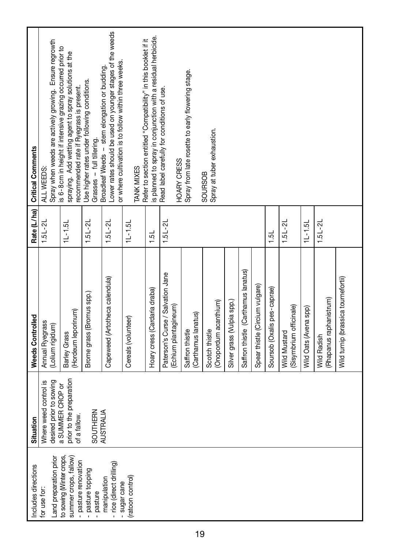| <b>Critical Comments</b> | Spray when weeds are actively growing. Ensure regrowth<br>ALL WEEDS: | is 6-8cm in height if intensive grazing occurred prior to<br>spraying. Add wetting agent to spray solutions at the<br>recommended rate if Ryegrass is present. | Use higher rates under following conditions.<br>Grasses - full tillering. | Lower rates should be used on younger stages of the weeds<br>or where cultivation is to follow within three weeks.<br>Broadleaf Weeds - stem elongation or budding. | TANK MIXES                       | is planned to spray in conjunction with a residual herbicide.<br>Refer to section entitled "Compatibility" in this booklet if it | Read label carefully for conditions of use.<br><b>HOARY CRESS</b> | Spray from late rosette to early flowering stage. | Spray at tuber exhaustion.<br><b>SOURSOB</b> |                            |                                     |                                 |                             |                                         |                       |                                              |                                     |
|--------------------------|----------------------------------------------------------------------|----------------------------------------------------------------------------------------------------------------------------------------------------------------|---------------------------------------------------------------------------|---------------------------------------------------------------------------------------------------------------------------------------------------------------------|----------------------------------|----------------------------------------------------------------------------------------------------------------------------------|-------------------------------------------------------------------|---------------------------------------------------|----------------------------------------------|----------------------------|-------------------------------------|---------------------------------|-----------------------------|-----------------------------------------|-----------------------|----------------------------------------------|-------------------------------------|
| Rate (L/ha)              | $1.5L - 2L$                                                          | $11 - 1.51$                                                                                                                                                    | $1.5L - 2L$                                                               | $1.5L - 2L$                                                                                                                                                         | $11 - 1.51$                      | 1.5L                                                                                                                             | $1.5L - 2L$                                                       |                                                   |                                              |                            |                                     |                                 | 1.5L                        | $1.5L - 2L$                             | $11 - 1.51$           | $1.5L - 2L$                                  |                                     |
| <b>Weeds Controlled</b>  | Annual Ryegrass<br>Lolium rigidum)                                   | (Hordeum leporinum)<br>Barley Grass                                                                                                                            | Brome grass (Bromus spp.                                                  | Capeweed (Artotheca calendula)                                                                                                                                      | Cereals (volunteer)              | Hoary cress (Cardaria draba)                                                                                                     | Paterson's Curse / Salvation Jane<br>(Echium plantagineum)        | Carthamus lanatus)<br>Saffron thistle             | (Onopordum acanthium)<br>Scotch thistle      | Silver grass (Vulpia spp.) | Saffron thistle (Carthamus lanatus) | Spear thistle (Circium vulgare) | Soursob (Oxalis pes-caprae) | (Sisymbrium officinale)<br>Wild Mustard | Wild Oats (Avena spp) | Rhapanus raphanistrum)<br><b>Wild Radish</b> | Wild turnip (brassica tournefortii) |
| Situation                | desired prior to sowing<br>Where weed control is                     | prior to the preparation<br>a SUMMER CROP or<br>of a fallow.                                                                                                   | SOUTHERN                                                                  | <b>AUSTRALIA</b>                                                                                                                                                    |                                  |                                                                                                                                  |                                                                   |                                                   |                                              |                            |                                     |                                 |                             |                                         |                       |                                              |                                     |
| Includes directions      | Land preparation prior<br>for use for:                               | to sowing (Winter crops,<br>summer crops, fallow)<br>- pasture renovation                                                                                      | pasture topping<br>pasture                                                | - rice (direct drilling)<br>manipulation                                                                                                                            | (ratoon control)<br>- sugar cane |                                                                                                                                  |                                                                   |                                                   |                                              |                            |                                     |                                 |                             |                                         |                       |                                              |                                     |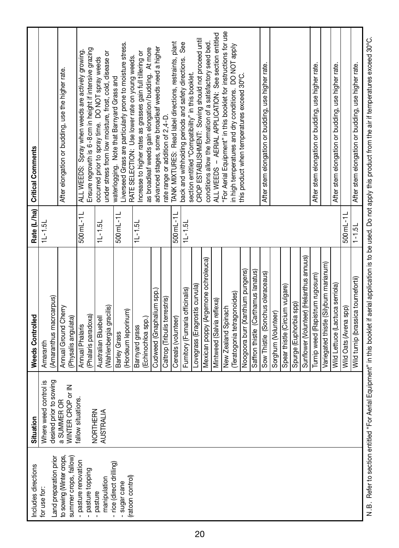| Includes directions                               | Situation                        | Weeds Controlled                           |             | Rate (L/ha) Critical Comments                                                                                |
|---------------------------------------------------|----------------------------------|--------------------------------------------|-------------|--------------------------------------------------------------------------------------------------------------|
| for use for:                                      | Where weed control is            | Amaranth                                   | $11 - 1.51$ |                                                                                                              |
| Land preparation prior                            | desired prior to sowing          | Amaranthus macrcarpus)                     |             |                                                                                                              |
| to sowing (Winter crops,<br>summer crops, fallow) | WINTER CROP or IN<br>a SUMMER OR | Annual Ground Cherry<br>Physalis angulata) |             | After elongation or budding, use the higher rate.                                                            |
| - pasture renovation                              | fallow situations.               | Annual Phalaris                            | 500mL-1L    | ALL WEEDS: Spray when weeds are actively growing.                                                            |
| - pasture topping                                 | NORTHERN                         | (Phalaris paradoxa)                        |             | Ensure regrowth is 6-8 cm in height if intensive grazing                                                     |
| pasture                                           | <b>AUSTRALIA</b>                 | Australian Bluebell                        | $11 - 1.51$ | occurred prior to spray time. DO NOT spray weeds                                                             |
| - rice (direct drilling)<br>manipulation          |                                  | Wahlenbergia gracilis)                     |             | under stress from low moisture, frost, cold, disease or                                                      |
|                                                   |                                  | Barley Grass                               | 500mL-1L    | waterlogging. Note that Barnyard Grass and                                                                   |
| (ratoon control)<br>- sugar cane                  |                                  | Hordeum leporinum)                         |             | Liverseed Grass are particularly prone to moisture stress.<br>RATE SELECTION: Use lower rate on young weeds. |
|                                                   |                                  | Barnyard grass                             | $1L-1.5L$   | Increase to higher rates as grasses gain full tillering or                                                   |
|                                                   |                                  | (Echinochloa spp.)                         |             | as broadleaf weeds gain elongation/budding. At more                                                          |
|                                                   |                                  | Cudweed (Gnaphalium spp.)                  |             | advanced stages, some broadleaf weeds need a higher                                                          |
|                                                   |                                  | Caltrop (Tribulis terrestris)              |             | rate range or addition of 2,4-D.                                                                             |
|                                                   |                                  | Cereals (volunteer)                        | 500mL-1L    | TANK MIXTURES: Read label directions, restraints, plant                                                      |
|                                                   |                                  | Fumitory (Fumaria officinalis)             | $11 - 1.51$ | back and withholding periods and safety directions. See                                                      |
|                                                   |                                  | Lovegrass (Eragrostis curvula)             |             | CROP ESTABLISHMENT: Sowing should not proceed until<br>section entitled "Compatibility" in this booklet.     |
|                                                   |                                  | Mexican poppy (Argemone ochroleuca)        |             | conditions allow the formation of a satisfactory seed bed.                                                   |
|                                                   |                                  | Mintweed (Salvia reflexa)                  |             | ALL WEEDS - AERIAL APPLICATION: See section entitled                                                         |
|                                                   |                                  | New Zealand Spinach                        |             | "For Aerial Equipment" in this booklet for instructions for use                                              |
|                                                   |                                  | Teratogonia tetragonoides)                 |             | in high temperatures and dry conditions. DO NOT apply                                                        |
|                                                   |                                  | Noogoora burr (Xanthium pungens)           |             | this product when temperatures exceed 30°C.                                                                  |
|                                                   |                                  | Saffron thistle (Carthamus lanatus)        |             |                                                                                                              |
|                                                   |                                  | Sow Thistle (Sonchus oleraceaus)           |             | After stem elongation or budding, use higher rate.                                                           |
|                                                   |                                  | Sorghum (Volunteer)                        |             |                                                                                                              |
|                                                   |                                  | Spear thistle (Circium vulgare)            |             |                                                                                                              |
|                                                   |                                  | Spurge (Euphorbia spp)                     |             |                                                                                                              |
|                                                   |                                  | Sunflower (Volunteer) (Helianthus annuus)  |             |                                                                                                              |
|                                                   |                                  | Turnip weed (Rapistrum rugosum)            |             | After stem elongation or budding, use higher rate.                                                           |
|                                                   |                                  | Variegated thistle (Silybum marianum)      |             |                                                                                                              |
|                                                   |                                  | <b>Nild Lettuce (Lactuca serriola)</b>     |             | After stem elongation or budding, use higher rate.                                                           |
|                                                   |                                  | Wild Oats (Avena spp)                      | 500mL-11    |                                                                                                              |
|                                                   |                                  | Wild turnip (brassica tournefortii)        | $1 - 1.5L$  | After stem elongation or budding, use higher rate.                                                           |
|                                                   |                                  |                                            |             |                                                                                                              |

N.B. Refer to section entitled "For Aerial Equipment" in this booklet if aerial application is to be used. Do not apply this product from the air if temperatures exceed 30°C. N.B. Refer to section entitled "For Aerial Equipment" in this booklet if aerial application is to be used. Do not apply this product from the air if temperatures exceed 30ºC.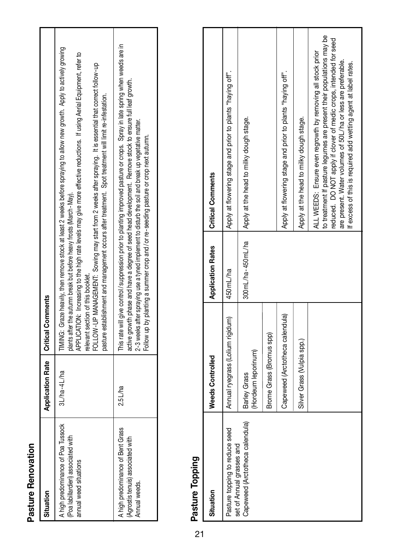| ֠ |
|---|
| г |
| r |
|   |
|   |
|   |
|   |
|   |
|   |
|   |
|   |

| Situation                                                                                           |                 | Application Rate   Critical Comments                                                                                                                                                                                                                                                                                                                                                                                                                                                                                                                                                   |
|-----------------------------------------------------------------------------------------------------|-----------------|----------------------------------------------------------------------------------------------------------------------------------------------------------------------------------------------------------------------------------------------------------------------------------------------------------------------------------------------------------------------------------------------------------------------------------------------------------------------------------------------------------------------------------------------------------------------------------------|
| A high predominance of Poa Tussock<br>(Poa labillardieri) associated with<br>annual weed situations | $3L/ha - 4L/ha$ | TIMING: Graze heavily, then remove stock at least 2 weeks before spraying to allow new growth. Apply to actively growing<br>APPLICATION: Increasing to the high rate levels may give more effective reductions. If using Aerial Equipment, refer to<br>FOLLOW-UP MANAGEMENT: Sowing may start from 2 weeks after spraying. It is essential that correct follow-up<br>pasture establishment and management occurs after treatment. Spot treatment will limit re-infestation.<br>plants after the autumn break but before heavy frosts (March-May).<br>relevant section of this booklet. |
| A high predominance of Bent Grass<br>(Agrostis tenuis) associated with<br>Annual weeds.             | 2.5L/ha         | This rate will give control/suppression prior to planting improved pasture or crops. Spray in late spring when weeds are in<br>active growth phase and have a degree of seed head development.  Remove stock to ensure full leaf growth.<br>2-3 weeks after spraying use a tyned implement to disturb the soil and break up vegetative matter.<br>Follow up by planting a summer crop and/ or re-seeding pasture or crop next autumn.                                                                                                                                                  |
|                                                                                                     |                 |                                                                                                                                                                                                                                                                                                                                                                                                                                                                                                                                                                                        |

### Pasture Topping **Pasture Topping**

| Situation                                                   | Weeds Controlled                    | <b>Application Rates</b> | <b>Critical Comments</b>                                                                                                                                                                                                                                                                                                                    |
|-------------------------------------------------------------|-------------------------------------|--------------------------|---------------------------------------------------------------------------------------------------------------------------------------------------------------------------------------------------------------------------------------------------------------------------------------------------------------------------------------------|
| Pasture topping to reduce seed<br>set of Annual grasses and | Annual ryegrass (Lolium rigidum)    | 450 mL/ha                | Apply at flowering stage and prior to plants "haying off".                                                                                                                                                                                                                                                                                  |
| Capeweed (Arctotheca calendula)                             | (Hordeum leporinum)<br>Barley Grass | 300mL/ha-450mL/ha        | Apply at the head to milky dough stage.                                                                                                                                                                                                                                                                                                     |
|                                                             | Brome Grass (Bromus spp)            |                          |                                                                                                                                                                                                                                                                                                                                             |
|                                                             | Capeweed (Arctotheca calendula)     |                          | Apply at flowering stage and prior to plants "haying off".                                                                                                                                                                                                                                                                                  |
|                                                             | Silver Grass (Vulpia spp.)          |                          | Apply at the head to milky dough stage.                                                                                                                                                                                                                                                                                                     |
|                                                             |                                     |                          | to treatment If pasture legumes are present their populations may be<br>reduced. DO NOT apply if clover of medic crops, intended for seed<br>ALL WEEDS: Ensure even regrowth by removing all stock prior<br>are present. Water volumes of 50L/ha or less are preferable.<br>If excess of this is required add wetting agent at label rates. |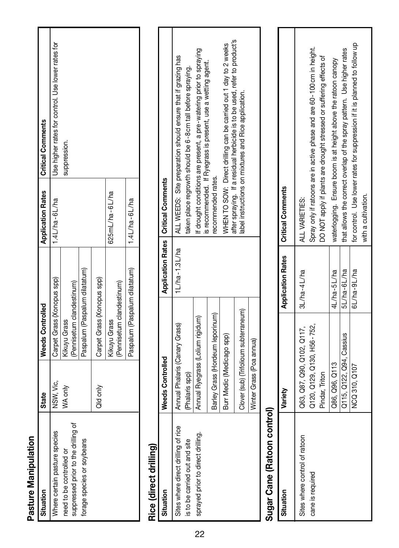| ŗ |
|---|
|   |
| ═ |
|   |
| ¢ |
|   |
|   |

 $\epsilon$ 

|                                              | Use higher rates for control. Use lower rates for | suppression.             |                                    |                               |                            |                 |                          |                               |
|----------------------------------------------|---------------------------------------------------|--------------------------|------------------------------------|-------------------------------|----------------------------|-----------------|--------------------------|-------------------------------|
| <b>Application Rates   Critical Comments</b> | $1.4$ L/ha-6L/ha                                  |                          |                                    |                               |                            | 625 mL/ha-6L/ha |                          | $1.4$ L/ha - 6L/ha            |
| Weeds Controlled                             | Carpet Grass (Xonopus spp)                        | Kikuyu Grass             | (Pennisetum clandestinum)          | Paspalum (Paspalum dilatatum) | Carpet Grass (Xonopus spp) | Kikuyu Grass    | Pennisetum clandestinum) | Paspalum (Paspalum dilatatum) |
| State                                        | NSW, Vic,                                         | WA only                  |                                    |                               | Old only                   |                 |                          |                               |
| Situation                                    | Where certain pasture species                     | need to be controlled or | suppressed prior to the driling of | forage species or soybeans    |                            |                 |                          |                               |

## Rice (direct drilling) **Rice (direct drilling)**

| Situation                          | Weeds Controlled                       |                 | Application Rates   Critical Comments                                                                                                         |
|------------------------------------|----------------------------------------|-----------------|-----------------------------------------------------------------------------------------------------------------------------------------------|
| Sites where direct driling of rice | Annual Phalaris (Canary Grass)         | $1L/ha-1.3L/ha$ | ALL WEEDS: Site preparation should ensure that if grazing has                                                                                 |
| is to be carried out and site      | (Phalaris spp)                         |                 | taken place regrowth should be 6-8 cm tall before spraying.                                                                                   |
| sprayed prior to direct drilling.  | Annual Ryegrass (Lolium rigidum)       |                 | If drought conditions are present, a pre-watering prior to spraying<br>is recommended. If Ryegrass is present, use a wetting agent.           |
|                                    | Barley Grass (Hordeum leporinum)       |                 | recommended rates.                                                                                                                            |
|                                    | Burr Medic (Medicago spp)              |                 | after spraying. If a residual herbicide is to be used, refer to product's<br>WHEN TO SOW: Direct drilling can be carried out 1 day to 2 weeks |
|                                    | Clover (sub) (Trifolioum subterraneum) |                 | label instructions on mixtures and Rice application.                                                                                          |
|                                    | Winter Grass (Poa annua)               |                 |                                                                                                                                               |

## Sugar Cane (Ratoon control) **Sugar Cane (Ratoon control)**

| Situation                                         | Variety                                                  | Application Rates   Critical Comments |                                                                                         |
|---------------------------------------------------|----------------------------------------------------------|---------------------------------------|-----------------------------------------------------------------------------------------|
| Sites where control of ratoon<br>cane is required | Q63, Q87, Q90, Q102, Q117,<br>Q120, Q129, Q130, H56-752, | $3L/ha-4L/ha$                         | Spray only if ratoons are in active phase and are 60-100cm in height.<br>ALL VARIETIES: |
|                                                   | indar. Triton                                            |                                       | DO NOT apply if plants are drought stressed or suffering effects of                     |
|                                                   | 386, Q96, Q113                                           | 4L/ha-5L/ha                           | waterlogging. Ensure boom is at height above the ratoon canopy                          |
|                                                   | Q115, Q122, Q94, Cassius                                 | 5L/ha-6L/ha                           | that allows the correct overlap of the spray pattern. Use higher rates                  |
|                                                   | <b>JCQ 310, Q107</b>                                     | 6L/ha-9L/ha                           | for control. Use lower rates for suppression if it is planned to follow up              |
|                                                   |                                                          |                                       | with a cultivation.                                                                     |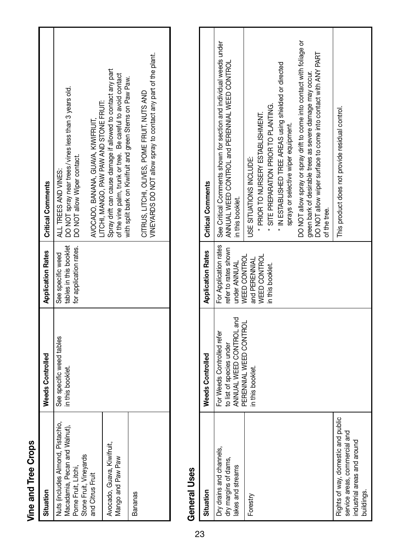| Ξ      |
|--------|
| ֠      |
| ι      |
| г<br>Ľ |

| Application Rates   Critical Comments | tables in this booklet   DO NOT spray near trees/vines less than 3 years old.<br>AVOCADO, BANANA, GUAVA, KIWIFRUIT,<br>for application rates.   DO NOT allow Wiper contact.<br>ALL TREES AND VINES: | Spray drift can cause damage if allowed to contact any part<br>of the vine palm, trunk or tree. Be careful to avoid contact<br>with split bark on Kiwifruit and green Stems on Paw Paw.<br>ITCHI, MANGO, PAW PAW AND STONE FRUIT: | /INEYARDS DO NOT allow spray to contact any part of the plant.<br>CITRUS, LITCHI, OLIVES, POME FRUIT, NUTS AND |
|---------------------------------------|-----------------------------------------------------------------------------------------------------------------------------------------------------------------------------------------------------|-----------------------------------------------------------------------------------------------------------------------------------------------------------------------------------------------------------------------------------|----------------------------------------------------------------------------------------------------------------|
|                                       | See specific weed                                                                                                                                                                                   |                                                                                                                                                                                                                                   |                                                                                                                |
| Weeds Controlled                      | See specific weed tables<br>in this booklet.                                                                                                                                                        |                                                                                                                                                                                                                                   |                                                                                                                |
| Situation                             | Nuts (includes Almond, Pistachio,<br>Macadamia, Pecan and Walnut),<br>Stone Fruit, Vineyards<br>Pome Fruit, Litchi,<br>and Citrus Fruit                                                             | Avocado, Guava, Kiwifruit,<br>Mango and Paw Paw                                                                                                                                                                                   | <b>Bananas</b>                                                                                                 |

#### General Uses **General Uses**

| gen di Ases                                                                                                      |                                                                                                             |                                                                                     |                                                                                                                                                                                                                                                                                                                                                                                                                                 |
|------------------------------------------------------------------------------------------------------------------|-------------------------------------------------------------------------------------------------------------|-------------------------------------------------------------------------------------|---------------------------------------------------------------------------------------------------------------------------------------------------------------------------------------------------------------------------------------------------------------------------------------------------------------------------------------------------------------------------------------------------------------------------------|
| Situation                                                                                                        | Weeds Controlled                                                                                            | <b>Application Rates</b>                                                            | Critical Comments                                                                                                                                                                                                                                                                                                                                                                                                               |
| Dry drains and channels,<br>dry margins of dams,<br>lakes and streams                                            | ANNUAL WEED CONTROL and<br>PERENNIAL WEED CONTROL<br>For Weeds Controlled refer<br>to list of species under | For Application rates<br>efer to rates shown<br><b>MEED CONTROL</b><br>under ANNUAL | See Critical Comments shown for section and individual weeds under<br>ANNUAL WEED CONTROL and PERENNIAL WEED CONTROL<br>n this booklet.                                                                                                                                                                                                                                                                                         |
| Forestry                                                                                                         | in this booklet.                                                                                            | VEED CONTROL<br>and PERENNIAL<br>in this booklet.                                   | DO NOT allow spray or spray drift to come into contact with foliage or<br>DO NOT allow wiper surface to come into contact with ANY PART<br>* IN ESTABLISHED TREE AREAS using shielded or directed<br>green bark of desirable trees as severe damage may occur.<br>* SITE PREPARATION PRIOR TO PLANTING.<br>* PRIOR TO NURSERY ESTABLISHMENT.<br>sprays or selective wiper equipment.<br>JSE SITUATIONS INCLUDE:<br>of the tree. |
| Rights of way, domestic and public<br>service areas, commercial and<br>industrial areas and around<br>buildings. |                                                                                                             |                                                                                     | This product does not provide residual control.                                                                                                                                                                                                                                                                                                                                                                                 |